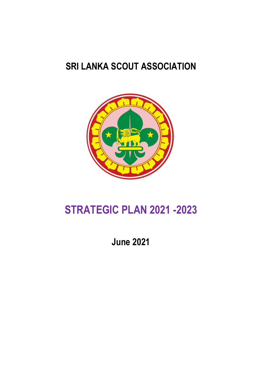## **SRI LANKA SCOUT ASSOCIATION**



# **STRATEGIC PLAN 2021 -2023**

**June 2021**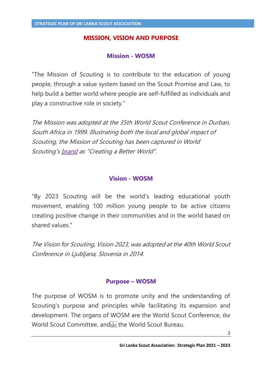## **MISSION, VISION AND PURPOSE**

## **Mission - WOSM**

"The Mission of Scouting is to contribute to the education of young people, through a value system based on the Scout Promise and Law, to help build a better world where people are self-fulfilled as individuals and play a constructive role in society."

The Mission was adopted at the 35th World Scout Conference in Durban, South Africa in 1999. Illustrating both the local and global impact of Scouting, the Mission of Scouting has been captured in World Scouting's [brand](http://scout.org/sites/default/files/library_files/Brand%20Manual_EN.pdf) as "Creating a Better World".

## **Vision - WOSM**

"By 2023 Scouting will be the world's leading educational youth movement, enabling 100 million young people to be active citizens creating positive change in their communities and in the world based on shared values."

The Vision for Scouting, Vision 2023, was adopted at the 40th World Scout Conference in Ljubljana, Slovenia in 2014.

## **Purpose – WOSM**

The purpose of WOSM is to promote unity and the understanding of Scouting's purpose and principles while facilitating its expansion and development. The organs of WOSM are the World Scout Conference, the World Scout Committee, and see the World Scout Bureau.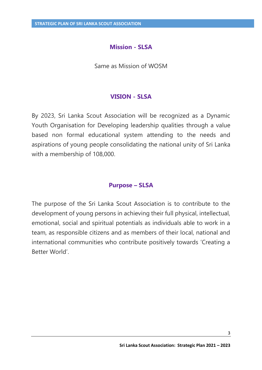## **Mission - SLSA**

Same as Mission of WOSM

## **VISION - SLSA**

By 2023, Sri Lanka Scout Association will be recognized as a Dynamic Youth Organisation for Developing leadership qualities through a value based non formal educational system attending to the needs and aspirations of young people consolidating the national unity of Sri Lanka with a membership of 108,000.

## **Purpose – SLSA**

The purpose of the Sri Lanka Scout Association is to contribute to the development of young persons in achieving their full physical, intellectual, emotional, social and spiritual potentials as individuals able to work in a team, as responsible citizens and as members of their local, national and international communities who contribute positively towards 'Creating a Better World'.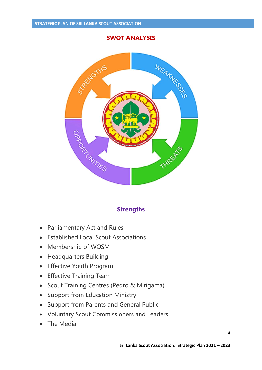# WEAKNESS OF STREET HIS **PROGRESSION AVITAGES** THREETS

## **SWOT ANALYSIS**

## **Strengths**

- Parliamentary Act and Rules
- Established Local Scout Associations
- Membership of WOSM
- Headquarters Building
- Effective Youth Program
- Effective Training Team
- Scout Training Centres (Pedro & Mirigama)
- Support from Education Ministry
- Support from Parents and General Public
- Voluntary Scout Commissioners and Leaders
- The Media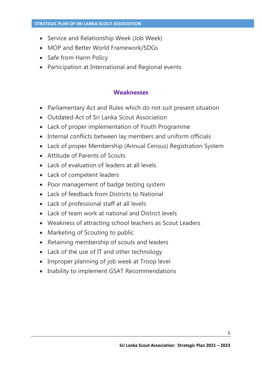- Service and Relationship Week (Job Week)
- MOP and Better World Framework/SDGs
- Safe from Harm Policy
- Participation at International and Regional events

## **Weaknesses**

- Parliamentary Act and Rules which do not suit present situation
- Outdated Act of Sri Lanka Scout Association
- Lack of proper implementation of Youth Programme
- Internal conflicts between lay members and uniform officials
- Lack of proper Membership (Annual Census) Registration System
- Attitude of Parents of Scouts
- Lack of evaluation of leaders at all levels
- Lack of competent leaders
- Poor management of badge testing system
- Lack of feedback from Districts to National
- Lack of professional staff at all levels
- Lack of team work at national and District levels
- Weakness of attracting school teachers as Scout Leaders
- Marketing of Scouting to public
- Retaining membership of scouts and leaders
- Lack of the use of IT and other technology
- Improper planning of job week at Troop level
- Inability to implement GSAT Recommendations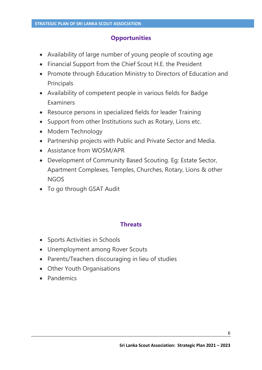## **Opportunities**

- Availability of large number of young people of scouting age
- Financial Support from the Chief Scout H.E. the President
- Promote through Education Ministry to Directors of Education and Principals
- Availability of competent people in various fields for Badge Examiners
- Resource persons in specialized fields for leader Training
- Support from other Institutions such as Rotary, Lions etc.
- Modern Technology
- Partnership projects with Public and Private Sector and Media.
- Assistance from WOSM/APR
- Development of Community Based Scouting. Eg: Estate Sector, Apartment Complexes, Temples, Churches, Rotary, Lions & other NGOS
- To go through GSAT Audit

## **Threats**

- Sports Activities in Schools
- Unemployment among Rover Scouts
- Parents/Teachers discouraging in lieu of studies
- Other Youth Organisations
- Pandemics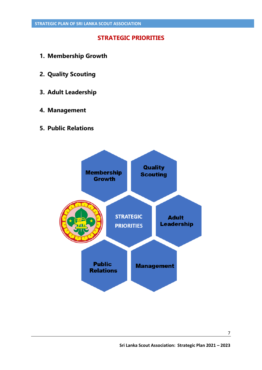## **STRATEGIC PRIORITIES**

- **1. Membership Growth**
- **2. Quality Scouting**
- **3. Adult Leadership**
- **4. Management**
- **5. Public Relations**

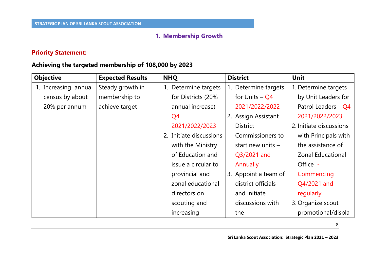## **1. Membership Growth**

## **Priority Statement:**

## **Achieving the targeted membership of 108,000 by 2023**

| <b>Objective</b>     | <b>Expected Results</b> | <b>NHQ</b>              | <b>District</b>      | <b>Unit</b>              |
|----------------------|-------------------------|-------------------------|----------------------|--------------------------|
| 1. Increasing annual | Steady growth in        | Determine targets<br>1. | 1. Determine targets | 1. Determine targets     |
| census by about      | membership to           | for Districts (20%      | for Units $-Q4$      | by Unit Leaders for      |
| 20% per annum        | achieve target          | annual increase) $-$    | 2021/2022/2022       | Patrol Leaders $-Q4$     |
|                      |                         | Q4                      | 2. Assign Assistant  | 2021/2022/2023           |
|                      |                         | 2021/2022/2023          | <b>District</b>      | 2. Initiate discussions  |
|                      |                         | 2. Initiate discussions | Commissioners to     | with Principals with     |
|                      |                         | with the Ministry       | start new units $-$  | the assistance of        |
|                      |                         | of Education and        | Q3/2021 and          | <b>Zonal Educational</b> |
|                      |                         | issue a circular to     | <b>Annually</b>      | Office -                 |
|                      |                         | provincial and          | 3. Appoint a team of | Commencing               |
|                      |                         | zonal educational       | district officials   | Q4/2021 and              |
|                      |                         | directors on            | and initiate         | regularly                |
|                      |                         | scouting and            | discussions with     | 3. Organize scout        |
|                      |                         | increasing              | the                  | promotional/displa       |

8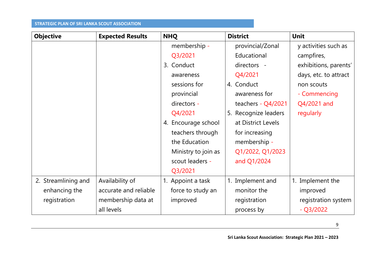| <b>Objective</b>    | <b>Expected Results</b> | <b>NHQ</b>          | <b>District</b>      | <b>Unit</b>           |
|---------------------|-------------------------|---------------------|----------------------|-----------------------|
|                     |                         | membership -        | provincial/Zonal     | y activities such as  |
|                     |                         | Q3/2021             | Educational          | campfires,            |
|                     |                         | 3. Conduct          | directors -          | exhibitions, parents' |
|                     |                         | awareness           | Q4/2021              | days, etc. to attract |
|                     |                         | sessions for        | 4. Conduct           | non scouts            |
|                     |                         | provincial          | awareness for        | - Commencing          |
|                     |                         | directors -         | teachers - $Q4/2021$ | Q4/2021 and           |
|                     |                         | Q4/2021             | 5. Recognize leaders | regularly             |
|                     |                         | 4. Encourage school | at District Levels   |                       |
|                     |                         | teachers through    | for increasing       |                       |
|                     |                         | the Education       | membership -         |                       |
|                     |                         | Ministry to join as | Q1/2022, Q1/2023     |                       |
|                     |                         | scout leaders -     | and Q1/2024          |                       |
|                     |                         | Q3/2021             |                      |                       |
| 2. Streamlining and | Availability of         | 1. Appoint a task   | 1. Implement and     | 1. Implement the      |
| enhancing the       | accurate and reliable   | force to study an   | monitor the          | improved              |
| registration        | membership data at      | improved            | registration         | registration system   |
|                     | all levels              |                     | process by           | $-Q3/2022$            |

9

**Sri Lanka Scout Association: Strategic Plan 2021 – 2023**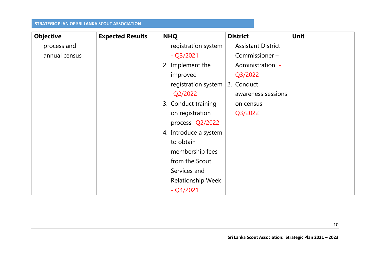| <b>Objective</b> | <b>Expected Results</b> | <b>NHQ</b>               | <b>District</b>           | <b>Unit</b> |
|------------------|-------------------------|--------------------------|---------------------------|-------------|
| process and      |                         | registration system      | <b>Assistant District</b> |             |
| annual census    |                         | $-Q3/2021$               | Commissioner-             |             |
|                  |                         | 2. Implement the         | Administration -          |             |
|                  |                         | improved                 | Q3/2022                   |             |
|                  |                         | registration system      | 2. Conduct                |             |
|                  |                         | $-Q$ 2/2022              | awareness sessions        |             |
|                  |                         | 3. Conduct training      | on census -               |             |
|                  |                         | on registration          | Q3/2022                   |             |
|                  |                         | process - Q2/2022        |                           |             |
|                  |                         | 4. Introduce a system    |                           |             |
|                  |                         | to obtain                |                           |             |
|                  |                         | membership fees          |                           |             |
|                  |                         | from the Scout           |                           |             |
|                  |                         | Services and             |                           |             |
|                  |                         | <b>Relationship Week</b> |                           |             |
|                  |                         | $-Q4/2021$               |                           |             |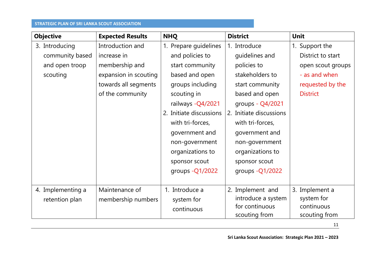| <b>Objective</b>  | <b>Expected Results</b> | <b>NHQ</b>              | <b>District</b>         | <b>Unit</b>       |
|-------------------|-------------------------|-------------------------|-------------------------|-------------------|
| 3. Introducing    | Introduction and        | 1. Prepare guidelines   | 1. Introduce            | Support the<br>1. |
| community based   | increase in             | and policies to         | guidelines and          | District to start |
| and open troop    | membership and          | start community         | policies to             | open scout groups |
| scouting          | expansion in scouting   | based and open          | stakeholders to         | - as and when     |
|                   | towards all segments    | groups including        | start community         | requested by the  |
|                   | of the community        | scouting in             | based and open          | <b>District</b>   |
|                   |                         | railways - Q4/2021      | groups - Q4/2021        |                   |
|                   |                         | 2. Initiate discussions | 2. Initiate discussions |                   |
|                   |                         | with tri-forces,        | with tri-forces,        |                   |
|                   |                         | government and          | government and          |                   |
|                   |                         | non-government          | non-government          |                   |
|                   |                         | organizations to        | organizations to        |                   |
|                   |                         | sponsor scout           | sponsor scout           |                   |
|                   |                         | groups - Q1/2022        | groups $-Q1/2022$       |                   |
|                   |                         |                         |                         |                   |
| 4. Implementing a | Maintenance of          | 1. Introduce a          | 2. Implement and        | 3. Implement a    |
| retention plan    | membership numbers      | system for              | introduce a system      | system for        |
|                   |                         | continuous              | for continuous          | continuous        |
|                   |                         |                         | scouting from           | scouting from     |

11

**Sri Lanka Scout Association: Strategic Plan 2021 – 2023**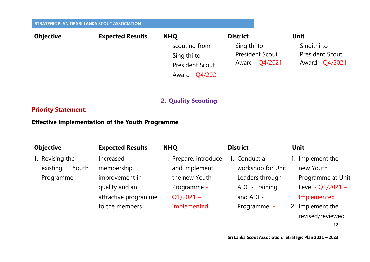| <b>Objective</b> | <b>Expected Results</b> | <b>NHQ</b>             | <b>District</b>        | <b>Unit</b>            |
|------------------|-------------------------|------------------------|------------------------|------------------------|
|                  |                         | scouting from          | Singithi to            | Singithi to            |
|                  |                         | Singithi to            | <b>President Scout</b> | <b>President Scout</b> |
|                  |                         | <b>President Scout</b> | Award - Q4/2021        | Award - Q4/2021        |
|                  |                         | Award - Q4/2021        |                        |                        |

## **2. Quality Scouting**

## **Priority Statement:**

## **Effective implementation of the Youth Programme**

| <b>Objective</b>  | <b>Expected Results</b> | <b>NHQ</b>         | <b>District</b>   | Unit              |
|-------------------|-------------------------|--------------------|-------------------|-------------------|
| 1. Revising the   | Increased               | Prepare, introduce | 1. Conduct a      | 1. Implement the  |
| existing<br>Youth | membership,             | and implement      | workshop for Unit | new Youth         |
| Programme         | improvement in          | the new Youth      | Leaders through   | Programme at Unit |
|                   | quality and an          | Programme -        | ADC - Training    | Level - Q1/2021 - |
|                   | attractive programme    | $Q1/2021 -$        | and ADC-          | Implemented       |
|                   | to the members          | Implemented        | Programme -       | 2. Implement the  |
|                   |                         |                    |                   | revised/reviewed  |
|                   |                         |                    |                   | 12                |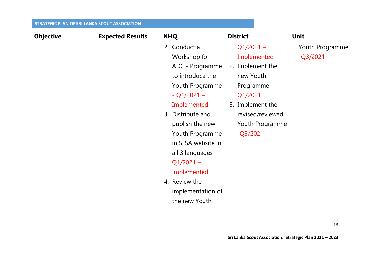| <b>Objective</b> | <b>Expected Results</b> | <b>NHQ</b>         | <b>District</b>  | <b>Unit</b>     |
|------------------|-------------------------|--------------------|------------------|-----------------|
|                  |                         | 2. Conduct a       | $Q1/2021 -$      | Youth Programme |
|                  |                         | Workshop for       | Implemented      | $-Q3/2021$      |
|                  |                         | ADC - Programme    | 2. Implement the |                 |
|                  |                         | to introduce the   | new Youth        |                 |
|                  |                         | Youth Programme    | Programme -      |                 |
|                  |                         | $- Q1/2021 -$      | Q1/2021          |                 |
|                  |                         | Implemented        | 3. Implement the |                 |
|                  |                         | 3. Distribute and  | revised/reviewed |                 |
|                  |                         | publish the new    | Youth Programme  |                 |
|                  |                         | Youth Programme    | $-Q3/2021$       |                 |
|                  |                         | in SLSA website in |                  |                 |
|                  |                         | all 3 languages -  |                  |                 |
|                  |                         | $Q1/2021 -$        |                  |                 |
|                  |                         | Implemented        |                  |                 |
|                  |                         | 4. Review the      |                  |                 |
|                  |                         | implementation of  |                  |                 |
|                  |                         | the new Youth      |                  |                 |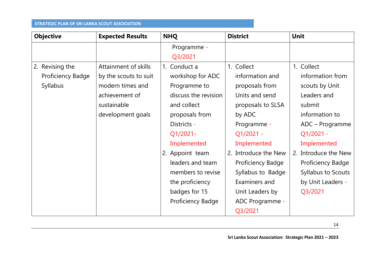| <b>Objective</b>                                        | <b>Expected Results</b>                                                                                                        | <b>NHQ</b>                                                                                                                                                                                                                                                                        | <b>District</b>                                                                                                                                                                                                                                                                          | <b>Unit</b>                                                                                                                                                                                                                                            |
|---------------------------------------------------------|--------------------------------------------------------------------------------------------------------------------------------|-----------------------------------------------------------------------------------------------------------------------------------------------------------------------------------------------------------------------------------------------------------------------------------|------------------------------------------------------------------------------------------------------------------------------------------------------------------------------------------------------------------------------------------------------------------------------------------|--------------------------------------------------------------------------------------------------------------------------------------------------------------------------------------------------------------------------------------------------------|
|                                                         |                                                                                                                                | Programme -<br>Q3/2021                                                                                                                                                                                                                                                            |                                                                                                                                                                                                                                                                                          |                                                                                                                                                                                                                                                        |
| 2. Revising the<br><b>Proficiency Badge</b><br>Syllabus | <b>Attainment of skills</b><br>by the scouts to suit<br>modern times and<br>achievement of<br>sustainable<br>development goals | 1. Conduct a<br>workshop for ADC<br>Programme to<br>discuss the revision<br>and collect<br>proposals from<br>Districts -<br>$Q1/2021-$<br>Implemented<br>2. Appoint team<br>leaders and team<br>members to revise<br>the proficiency<br>badges for 15<br><b>Proficiency Badge</b> | 1. Collect<br>information and<br>proposals from<br>Units and send<br>proposals to SLSA<br>by ADC<br>Programme -<br>$Q1/2021 -$<br>Implemented<br>2. Introduce the New<br><b>Proficiency Badge</b><br>Syllabus to Badge<br>Examiners and<br>Unit Leaders by<br>ADC Programme -<br>Q3/2021 | 1. Collect<br>information from<br>scouts by Unit<br>Leaders and<br>submit<br>information to<br>ADC – Programme<br>$Q1/2021 -$<br>Implemented<br>2. Introduce the New<br><b>Proficiency Badge</b><br>Syllabus to Scouts<br>by Unit Leaders -<br>Q3/2021 |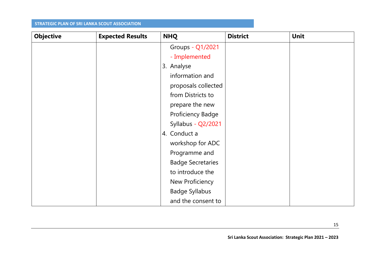| <b>Objective</b> | <b>Expected Results</b> | <b>NHQ</b>               | <b>District</b> | <b>Unit</b> |
|------------------|-------------------------|--------------------------|-----------------|-------------|
|                  |                         | Groups - Q1/2021         |                 |             |
|                  |                         | - Implemented            |                 |             |
|                  |                         | 3. Analyse               |                 |             |
|                  |                         | information and          |                 |             |
|                  |                         | proposals collected      |                 |             |
|                  |                         | from Districts to        |                 |             |
|                  |                         | prepare the new          |                 |             |
|                  |                         | <b>Proficiency Badge</b> |                 |             |
|                  |                         | Syllabus - Q2/2021       |                 |             |
|                  |                         | 4. Conduct a             |                 |             |
|                  |                         | workshop for ADC         |                 |             |
|                  |                         | Programme and            |                 |             |
|                  |                         | <b>Badge Secretaries</b> |                 |             |
|                  |                         | to introduce the         |                 |             |
|                  |                         | New Proficiency          |                 |             |
|                  |                         | <b>Badge Syllabus</b>    |                 |             |
|                  |                         | and the consent to       |                 |             |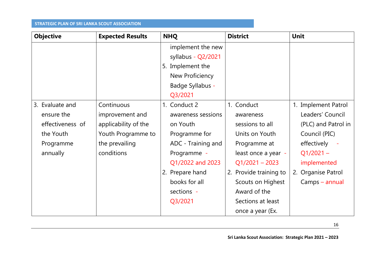| <b>Objective</b> | <b>Expected Results</b> | <b>NHQ</b>           | <b>District</b>        | Unit                |
|------------------|-------------------------|----------------------|------------------------|---------------------|
|                  |                         | implement the new    |                        |                     |
|                  |                         | syllabus - $Q2/2021$ |                        |                     |
|                  |                         | 5. Implement the     |                        |                     |
|                  |                         | New Proficiency      |                        |                     |
|                  |                         | Badge Syllabus -     |                        |                     |
|                  |                         | Q3/2021              |                        |                     |
| 3. Evaluate and  | Continuous              | 1. Conduct 2         | 1. Conduct             | 1. Implement Patrol |
| ensure the       | improvement and         | awareness sessions   | awareness              | Leaders' Council    |
| effectiveness of | applicability of the    | on Youth             | sessions to all        | (PLC) and Patrol in |
| the Youth        | Youth Programme to      | Programme for        | Units on Youth         | Council (PIC)       |
| Programme        | the prevailing          | ADC - Training and   | Programme at           | effectively         |
| annually         | conditions              | Programme -          | least once a year -    | $Q1/2021 -$         |
|                  |                         | Q1/2022 and 2023     | $Q1/2021 - 2023$       | implemented         |
|                  |                         | 2. Prepare hand      | 2. Provide training to | 2. Organise Patrol  |
|                  |                         | books for all        | Scouts on Highest      | Camps - annual      |
|                  |                         | sections -           | Award of the           |                     |
|                  |                         | Q3/2021              | Sections at least      |                     |
|                  |                         |                      | once a year (Ex.       |                     |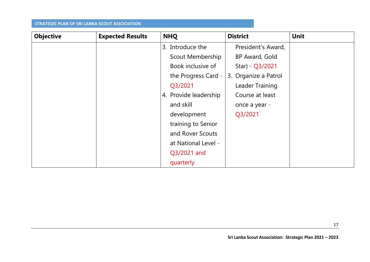| <b>Objective</b> | <b>Expected Results</b> | <b>NHQ</b>              | <b>District</b>      | <b>Unit</b> |
|------------------|-------------------------|-------------------------|----------------------|-------------|
|                  |                         | 3. Introduce the        | President's Award,   |             |
|                  |                         | <b>Scout Membership</b> | BP Award, Gold       |             |
|                  |                         | Book inclusive of       | Star) - Q3/2021      |             |
|                  |                         | the Progress Card -     | 3. Organize a Patrol |             |
|                  |                         | Q3/2021                 | Leader Training      |             |
|                  |                         | 4. Provide leadership   | Course at least      |             |
|                  |                         | and skill               | once a year -        |             |
|                  |                         | development             | Q3/2021              |             |
|                  |                         | training to Senior      |                      |             |
|                  |                         | and Rover Scouts        |                      |             |
|                  |                         | at National Level -     |                      |             |
|                  |                         | Q3/2021 and             |                      |             |
|                  |                         | quarterly               |                      |             |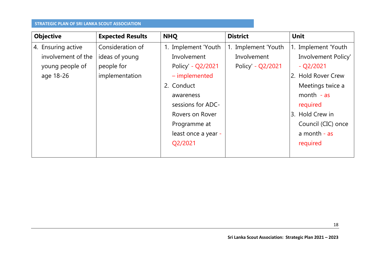| <b>Objective</b>   | <b>Expected Results</b> | <b>NHQ</b>          | <b>District</b>     | <b>Unit</b>         |
|--------------------|-------------------------|---------------------|---------------------|---------------------|
| 4. Ensuring active | Consideration of        | 1. Implement 'Youth | 1. Implement 'Youth | 1. Implement 'Youth |
| involvement of the | ideas of young          | Involvement         | Involvement         | Involvement Policy' |
| young people of    | people for              | Policy' - Q2/2021   | Policy' - Q2/2021   | $-Q2/2021$          |
| age 18-26          | implementation          | $-$ implemented     |                     | 2. Hold Rover Crew  |
|                    |                         | 2. Conduct          |                     | Meetings twice a    |
|                    |                         | awareness           |                     | month $-$ as        |
|                    |                         | sessions for ADC-   |                     | required            |
|                    |                         | Rovers on Rover     |                     | 3. Hold Crew in     |
|                    |                         | Programme at        |                     | Council (CIC) once  |
|                    |                         | least once a year - |                     | a month $-$ as      |
|                    |                         | Q2/2021             |                     | required            |
|                    |                         |                     |                     |                     |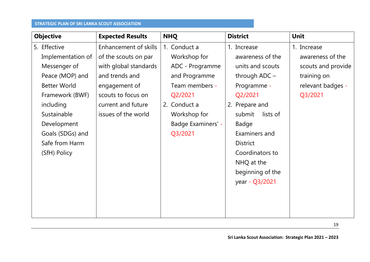| <b>Objective</b>    | <b>Expected Results</b> | <b>NHQ</b>         | <b>District</b>    | <b>Unit</b>        |
|---------------------|-------------------------|--------------------|--------------------|--------------------|
| 5. Effective        | Enhancement of skills   | 1. Conduct a       | 1. Increase        | 1. Increase        |
| Implementation of   | of the scouts on par    | Workshop for       | awareness of the   | awareness of the   |
| Messenger of        | with global standards   | ADC - Programme    | units and scouts   | scouts and provide |
| Peace (MOP) and     | and trends and          | and Programme      | through $ADC -$    | training on        |
| <b>Better World</b> | engagement of           | Team members -     | Programme -        | relevant badges -  |
| Framework (BWF)     | scouts to focus on      | Q2/2021            | Q2/2021            | Q3/2021            |
| including           | current and future      | 2. Conduct a       | 2. Prepare and     |                    |
| Sustainable         | issues of the world     | Workshop for       | submit<br>lists of |                    |
| Development         |                         | Badge Examiners' - | Badge              |                    |
| Goals (SDGs) and    |                         | Q3/2021            | Examiners and      |                    |
| Safe from Harm      |                         |                    | <b>District</b>    |                    |
| (SfH) Policy        |                         |                    | Coordinators to    |                    |
|                     |                         |                    | NHQ at the         |                    |
|                     |                         |                    | beginning of the   |                    |
|                     |                         |                    | year - Q3/2021     |                    |
|                     |                         |                    |                    |                    |
|                     |                         |                    |                    |                    |
|                     |                         |                    |                    |                    |

**Sri Lanka Scout Association: Strategic Plan 2021 – 2023**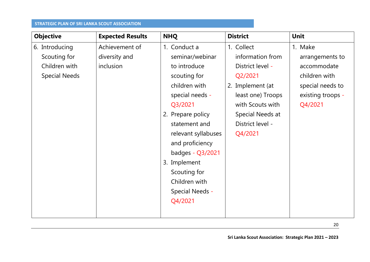| <b>Objective</b><br><b>Expected Results</b>                                                                                   | <b>NHQ</b>                                                                                                                                                                                                                                                                                     | <b>District</b>                                                                                                                                                               | <b>Unit</b>                                                                                                    |
|-------------------------------------------------------------------------------------------------------------------------------|------------------------------------------------------------------------------------------------------------------------------------------------------------------------------------------------------------------------------------------------------------------------------------------------|-------------------------------------------------------------------------------------------------------------------------------------------------------------------------------|----------------------------------------------------------------------------------------------------------------|
| 6. Introducing<br>Achievement of<br>Scouting for<br>diversity and<br>Children with<br>inclusion<br><b>Special Needs</b><br>3. | 1. Conduct a<br>seminar/webinar<br>to introduce<br>scouting for<br>children with<br>special needs -<br>Q3/2021<br>2. Prepare policy<br>statement and<br>relevant syllabuses<br>and proficiency<br>badges - Q3/2021<br>Implement<br>Scouting for<br>Children with<br>Special Needs -<br>Q4/2021 | 1. Collect<br>information from<br>District level -<br>Q2/2021<br>2. Implement (at<br>least one) Troops<br>with Scouts with<br>Special Needs at<br>District level -<br>Q4/2021 | 1. Make<br>arrangements to<br>accommodate<br>children with<br>special needs to<br>existing troops -<br>Q4/2021 |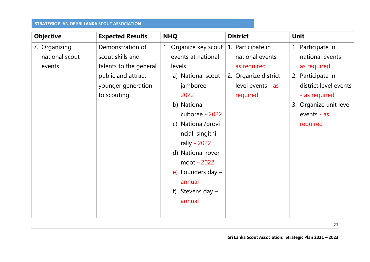| <b>Objective</b> | <b>Expected Results</b> | <b>NHQ</b>            | <b>District</b>      | <b>Unit</b>            |
|------------------|-------------------------|-----------------------|----------------------|------------------------|
| 7. Organizing    | Demonstration of        | 1. Organize key scout | 1. Participate in    | 1. Participate in      |
| national scout   | scout skills and        | events at national    | national events -    | national events -      |
| events           | talents to the general  | levels                | as required          | as required            |
|                  | public and attract      | a) National scout     | 2. Organize district | 2. Participate in      |
|                  | younger generation      | jamboree -            | level events - as    | district level events  |
|                  | to scouting             | 2022                  | required             | - as required          |
|                  |                         | b) National           |                      | 3. Organize unit level |
|                  |                         | cuboree - 2022        |                      | events - as            |
|                  |                         | c) National/provi     |                      | required               |
|                  |                         | ncial singithi        |                      |                        |
|                  |                         | rally - 2022          |                      |                        |
|                  |                         | d) National rover     |                      |                        |
|                  |                         | moot - 2022           |                      |                        |
|                  |                         | e) Founders day $-$   |                      |                        |
|                  |                         | annual                |                      |                        |
|                  |                         | f) Stevens day $-$    |                      |                        |
|                  |                         | annual                |                      |                        |
|                  |                         |                       |                      |                        |

21

**Sri Lanka Scout Association: Strategic Plan 2021 – 2023**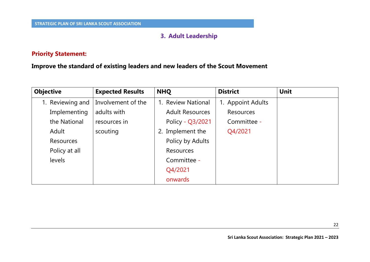## **3. Adult Leadership**

## **Priority Statement:**

**Improve the standard of existing leaders and new leaders of the Scout Movement** 

| <b>Objective</b> | <b>Expected Results</b> | <b>NHQ</b>             | <b>District</b>   | <b>Unit</b> |
|------------------|-------------------------|------------------------|-------------------|-------------|
| 1. Reviewing and | Involvement of the      | 1. Review National     | 1. Appoint Adults |             |
| Implementing     | adults with             | <b>Adult Resources</b> | <b>Resources</b>  |             |
| the National     | resources in            | Policy - Q3/2021       | Committee -       |             |
| Adult            | scouting                | 2. Implement the       | Q4/2021           |             |
| <b>Resources</b> |                         | Policy by Adults       |                   |             |
| Policy at all    |                         | <b>Resources</b>       |                   |             |
| levels           |                         | Committee -            |                   |             |
|                  |                         | Q4/2021                |                   |             |
|                  |                         | onwards                |                   |             |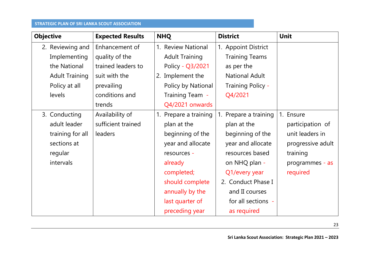| <b>Objective</b>      | <b>Expected Results</b> | <b>NHQ</b>            | <b>District</b>       | <b>Unit</b>       |
|-----------------------|-------------------------|-----------------------|-----------------------|-------------------|
| 2. Reviewing and      | Enhancement of          | 1. Review National    | 1. Appoint District   |                   |
| Implementing          | quality of the          | <b>Adult Training</b> | <b>Training Teams</b> |                   |
| the National          | trained leaders to      | Policy - Q3/2021      | as per the            |                   |
| <b>Adult Training</b> | suit with the           | 2. Implement the      | <b>National Adult</b> |                   |
| Policy at all         | prevailing              | Policy by National    | Training Policy -     |                   |
| levels                | conditions and          | Training Team -       | Q4/2021               |                   |
|                       | trends                  | Q4/2021 onwards       |                       |                   |
| 3. Conducting         | Availability of         | 1. Prepare a training | 1. Prepare a training | 1. Ensure         |
| adult leader          | sufficient trained      | plan at the           | plan at the           | participation of  |
| training for all      | leaders                 | beginning of the      | beginning of the      | unit leaders in   |
| sections at           |                         | year and allocate     | year and allocate     | progressive adult |
| regular               |                         | resources -           | resources based       | training          |
| intervals             |                         | already               | on NHQ plan -         | programmes - as   |
|                       |                         | completed;            | Q1/every year         | required          |
|                       |                         | should complete       | 2. Conduct Phase I    |                   |
|                       |                         | annually by the       | and II courses        |                   |
|                       |                         | last quarter of       | for all sections -    |                   |
|                       |                         | preceding year        | as required           |                   |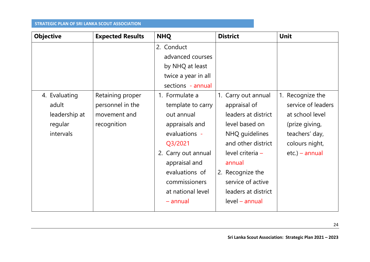|                                                                 |                                                                     | 2. Conduct                                                                                                                                                                                                  |                                                                                                                                                                                                                                        |                                                                                                                                      |
|-----------------------------------------------------------------|---------------------------------------------------------------------|-------------------------------------------------------------------------------------------------------------------------------------------------------------------------------------------------------------|----------------------------------------------------------------------------------------------------------------------------------------------------------------------------------------------------------------------------------------|--------------------------------------------------------------------------------------------------------------------------------------|
|                                                                 |                                                                     | advanced courses                                                                                                                                                                                            |                                                                                                                                                                                                                                        |                                                                                                                                      |
|                                                                 |                                                                     | by NHQ at least                                                                                                                                                                                             |                                                                                                                                                                                                                                        |                                                                                                                                      |
|                                                                 |                                                                     | twice a year in all                                                                                                                                                                                         |                                                                                                                                                                                                                                        |                                                                                                                                      |
|                                                                 |                                                                     | sections - annual                                                                                                                                                                                           |                                                                                                                                                                                                                                        |                                                                                                                                      |
| 4. Evaluating<br>adult<br>leadership at<br>regular<br>intervals | Retaining proper<br>personnel in the<br>movement and<br>recognition | 1. Formulate a<br>template to carry<br>out annual<br>appraisals and<br>evaluations -<br>Q3/2021<br>2. Carry out annual<br>appraisal and<br>evaluations of<br>commissioners<br>at national level<br>- annual | 1. Carry out annual<br>appraisal of<br>leaders at district<br>level based on<br>NHQ quidelines<br>and other district<br>level criteria -<br>annual<br>2. Recognize the<br>service of active<br>leaders at district<br>$level - annual$ | 1. Recognize the<br>service of leaders<br>at school level<br>(prize giving,<br>teachers' day,<br>colours night,<br>$etc.$ ) – annual |

**Sri Lanka Scout Association: Strategic Plan 2021 – 2023**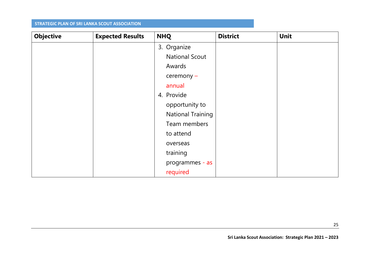| <b>Objective</b> | <b>Expected Results</b> | <b>NHQ</b>               | <b>District</b> | <b>Unit</b> |
|------------------|-------------------------|--------------------------|-----------------|-------------|
|                  |                         | 3. Organize              |                 |             |
|                  |                         | <b>National Scout</b>    |                 |             |
|                  |                         | Awards                   |                 |             |
|                  |                         | $c$ eremony –            |                 |             |
|                  |                         | annual                   |                 |             |
|                  |                         | 4. Provide               |                 |             |
|                  |                         | opportunity to           |                 |             |
|                  |                         | <b>National Training</b> |                 |             |
|                  |                         | Team members             |                 |             |
|                  |                         | to attend                |                 |             |
|                  |                         | overseas                 |                 |             |
|                  |                         | training                 |                 |             |
|                  |                         | programmes - as          |                 |             |
|                  |                         | required                 |                 |             |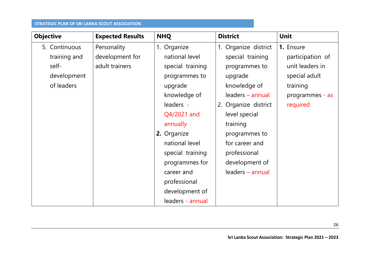| <b>Objective</b> | <b>Expected Results</b> | <b>NHQ</b>       | <b>District</b>      | <b>Unit</b>      |
|------------------|-------------------------|------------------|----------------------|------------------|
| 5. Continuous    | Personality             | 1. Organize      | 1. Organize district | 1. Ensure        |
| training and     | development for         | national level   | special training     | participation of |
| self-            | adult trainers          | special training | programmes to        | unit leaders in  |
| development      |                         | programmes to    | upgrade              | special adult    |
| of leaders       |                         | upgrade          | knowledge of         | training         |
|                  |                         | knowledge of     | leaders - annual     | programmes - as  |
|                  |                         | leaders -        | 2. Organize district | required         |
|                  |                         | Q4/2021 and      | level special        |                  |
|                  |                         | annually         | training             |                  |
|                  |                         | 2. Organize      | programmes to        |                  |
|                  |                         | national level   | for career and       |                  |
|                  |                         | special training | professional         |                  |
|                  |                         | programmes for   | development of       |                  |
|                  |                         | career and       | leaders - annual     |                  |
|                  |                         | professional     |                      |                  |
|                  |                         | development of   |                      |                  |
|                  |                         | leaders - annual |                      |                  |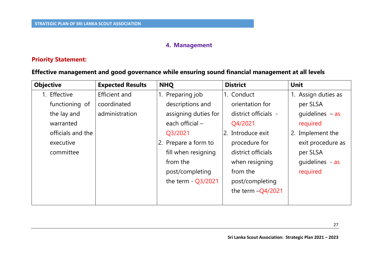## **4. Management**

## **Priority Statement:**

## **Effective management and good governance while ensuring sound financial management at all levels**

| <b>Objective</b>  | <b>Expected Results</b> | <b>NHQ</b>           | <b>District</b>      | <b>Unit</b>         |
|-------------------|-------------------------|----------------------|----------------------|---------------------|
| 1. Effective      | Efficient and           | 1. Preparing job     | 1. Conduct           | 1. Assign duties as |
| functioning of    | coordinated             | descriptions and     | orientation for      | per SLSA            |
| the lay and       | administration          | assigning duties for | district officials - | quidelines $-$ as   |
| warranted         |                         | each official -      | Q4/2021              | required            |
| officials and the |                         | Q3/2021              | 2. Introduce exit    | 2. Implement the    |
| executive         |                         | 2. Prepare a form to | procedure for        | exit procedure as   |
| committee         |                         | fill when resigning  | district officials   | per SLSA            |
|                   |                         | from the             | when resigning       | quidelines - as     |
|                   |                         | post/completing      | from the             | required            |
|                   |                         | the term $-$ Q3/2021 | post/completing      |                     |
|                   |                         |                      | the term $-Q4/2021$  |                     |
|                   |                         |                      |                      |                     |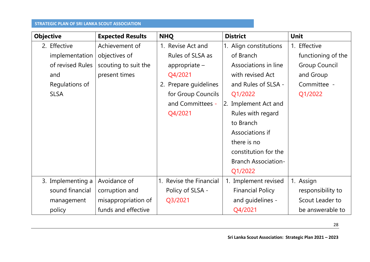| <b>Objective</b>  | <b>Expected Results</b> | <b>NHQ</b>              | <b>District</b>            | <b>Unit</b>              |
|-------------------|-------------------------|-------------------------|----------------------------|--------------------------|
| 2. Effective      | Achievement of          | 1. Revise Act and       | 1. Align constitutions     | Effective<br>$1_{\cdot}$ |
| implementation    | objectives of           | Rules of SLSA as        | of Branch                  | functioning of the       |
| of revised Rules  | scouting to suit the    | appropriate $-$         | Associations in line       | <b>Group Council</b>     |
| and               | present times           | Q4/2021                 | with revised Act           | and Group                |
| Regulations of    |                         | 2. Prepare guidelines   | and Rules of SLSA -        | Committee -              |
| <b>SLSA</b>       |                         | for Group Councils      | Q1/2022                    | Q1/2022                  |
|                   |                         | and Committees -        | 2. Implement Act and       |                          |
|                   |                         | Q4/2021                 | Rules with regard          |                          |
|                   |                         |                         | to Branch                  |                          |
|                   |                         |                         | Associations if            |                          |
|                   |                         |                         | there is no                |                          |
|                   |                         |                         | constitution for the       |                          |
|                   |                         |                         | <b>Branch Association-</b> |                          |
|                   |                         |                         | Q1/2022                    |                          |
| 3. Implementing a | Avoidance of            | 1. Revise the Financial | 1. Implement revised       | 1. Assign                |
| sound financial   | corruption and          | Policy of SLSA -        | <b>Financial Policy</b>    | responsibility to        |
| management        | misappropriation of     | Q3/2021                 | and guidelines -           | Scout Leader to          |
| policy            | funds and effective     |                         | Q4/2021                    | be answerable to         |

28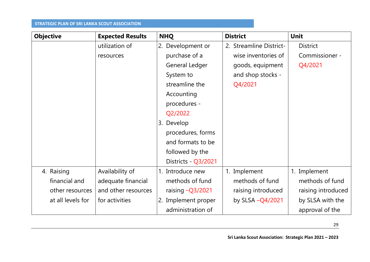| <b>Objective</b>  | <b>Expected Results</b> | <b>NHQ</b>          | <b>District</b>         | <b>Unit</b>        |
|-------------------|-------------------------|---------------------|-------------------------|--------------------|
|                   | utilization of          | 2. Development or   | 2. Streamline District- | <b>District</b>    |
|                   | resources               | purchase of a       | wise inventories of     | Commissioner -     |
|                   |                         | General Ledger      | goods, equipment        | Q4/2021            |
|                   |                         | System to           | and shop stocks -       |                    |
|                   |                         | streamline the      | Q4/2021                 |                    |
|                   |                         | Accounting          |                         |                    |
|                   |                         | procedures -        |                         |                    |
|                   |                         | Q2/2022             |                         |                    |
|                   |                         | 3. Develop          |                         |                    |
|                   |                         | procedures, forms   |                         |                    |
|                   |                         | and formats to be   |                         |                    |
|                   |                         | followed by the     |                         |                    |
|                   |                         | Districts - Q3/2021 |                         |                    |
| 4. Raising        | Availability of         | 1. Introduce new    | 1. Implement            | Implement<br>1.    |
| financial and     | adequate financial      | methods of fund     | methods of fund         | methods of fund    |
| other resources   | and other resources     | raising $-Q3/2021$  | raising introduced      | raising introduced |
| at all levels for | for activities          | 2. Implement proper | by SLSA -Q4/2021        | by SLSA with the   |
|                   |                         | administration of   |                         | approval of the    |

29

**Sri Lanka Scout Association: Strategic Plan 2021 – 2023**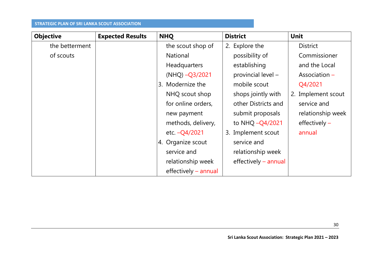| <b>Objective</b> | <b>Expected Results</b> | <b>NHQ</b>           | <b>District</b>      | <b>Unit</b>        |
|------------------|-------------------------|----------------------|----------------------|--------------------|
| the betterment   |                         | the scout shop of    | 2. Explore the       | <b>District</b>    |
| of scouts        |                         | <b>National</b>      | possibility of       | Commissioner       |
|                  |                         | Headquarters         | establishing         | and the Local      |
|                  |                         | $(NHQ) - Q3/2021$    | provincial level -   | Association $-$    |
|                  |                         | 3. Modernize the     | mobile scout         | Q4/2021            |
|                  |                         | NHQ scout shop       | shops jointly with   | 2. Implement scout |
|                  |                         | for online orders,   | other Districts and  | service and        |
|                  |                         | new payment          | submit proposals     | relationship week  |
|                  |                         | methods, delivery,   | to NHQ -Q4/2021      | effectively $-$    |
|                  |                         | etc. - Q4/2021       | 3. Implement scout   | annual             |
|                  |                         | 4. Organize scout    | service and          |                    |
|                  |                         | service and          | relationship week    |                    |
|                  |                         | relationship week    | effectively - annual |                    |
|                  |                         | effectively - annual |                      |                    |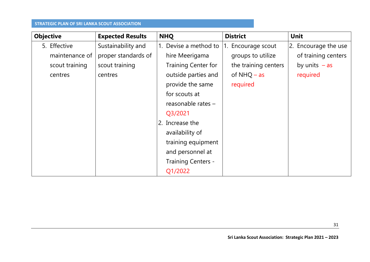| <b>Objective</b> | <b>Expected Results</b> | <b>NHQ</b>                 | <b>District</b>       | <b>Unit</b>          |
|------------------|-------------------------|----------------------------|-----------------------|----------------------|
| 5. Effective     | Sustainability and      | 1. Devise a method to      | Encourage scout<br>1. | 2. Encourage the use |
| maintenance of   | proper standards of     | hire Meerigama             | groups to utilize     | of training centers  |
| scout training   | scout training          | <b>Training Center for</b> | the training centers  | by units $-$ as      |
| centres          | centres                 | outside parties and        | of $NHQ - as$         | required             |
|                  |                         | provide the same           | required              |                      |
|                  |                         | for scouts at              |                       |                      |
|                  |                         | reasonable rates $-$       |                       |                      |
|                  |                         | Q3/2021                    |                       |                      |
|                  |                         | 2. Increase the            |                       |                      |
|                  |                         | availability of            |                       |                      |
|                  |                         | training equipment         |                       |                      |
|                  |                         | and personnel at           |                       |                      |
|                  |                         | <b>Training Centers -</b>  |                       |                      |
|                  |                         | Q1/2022                    |                       |                      |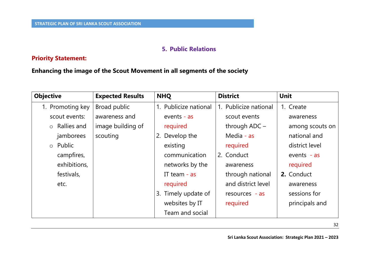## **5. Public Relations**

## **Priority Statement:**

## **Enhancing the image of the Scout Movement in all segments of the society**

| <b>Objective</b>    | <b>Expected Results</b> | <b>NHQ</b>            | <b>District</b>       | <b>Unit</b>     |
|---------------------|-------------------------|-----------------------|-----------------------|-----------------|
| 1. Promoting key    | Broad public            | 1. Publicize national | 1. Publicize national | 1. Create       |
| scout events:       | awareness and           | events - $as$         | scout events          | awareness       |
| $\circ$ Rallies and | image building of       | required              | through $ADC -$       | among scouts on |
| jamborees           | scouting                | Develop the<br>2.     | Media - as            | national and    |
| $\circ$ Public      |                         | existing              | required              | district level  |
| campfires,          |                         | communication         | 2. Conduct            | events $-$ as   |
| exhibitions,        |                         | networks by the       | awareness             | required        |
| festivals,          |                         | IT team $-$ as        | through national      | 2. Conduct      |
| etc.                |                         | required              | and district level    | awareness       |
|                     |                         | 3. Timely update of   | resources - as        | sessions for    |
|                     |                         | websites by IT        | required              | principals and  |
|                     |                         | Team and social       |                       |                 |

32

**Sri Lanka Scout Association: Strategic Plan 2021 – 2023**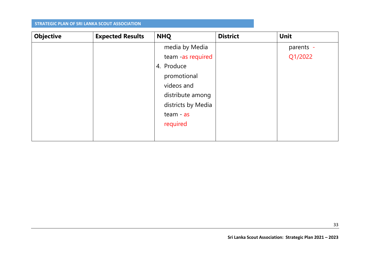| <b>Objective</b> | <b>Expected Results</b> | <b>NHQ</b>         | <b>District</b> | <b>Unit</b> |
|------------------|-------------------------|--------------------|-----------------|-------------|
|                  |                         | media by Media     |                 | parents -   |
|                  |                         | team -as required  |                 | Q1/2022     |
|                  |                         | 4. Produce         |                 |             |
|                  |                         | promotional        |                 |             |
|                  |                         | videos and         |                 |             |
|                  |                         | distribute among   |                 |             |
|                  |                         | districts by Media |                 |             |
|                  |                         | $team - as$        |                 |             |
|                  |                         | required           |                 |             |
|                  |                         |                    |                 |             |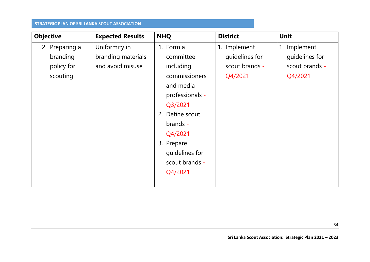| <b>Objective</b> | <b>Expected Results</b> | <b>NHQ</b>      | <b>District</b> | <b>Unit</b>    |
|------------------|-------------------------|-----------------|-----------------|----------------|
| 2. Preparing a   | Uniformity in           | 1. Form a       | 1. Implement    | 1. Implement   |
| branding         | branding materials      | committee       | guidelines for  | guidelines for |
| policy for       | and avoid misuse        | including       | scout brands -  | scout brands - |
| scouting         |                         | commissioners   | Q4/2021         | Q4/2021        |
|                  |                         | and media       |                 |                |
|                  |                         | professionals - |                 |                |
|                  |                         | Q3/2021         |                 |                |
|                  |                         | 2. Define scout |                 |                |
|                  |                         | brands -        |                 |                |
|                  |                         | Q4/2021         |                 |                |
|                  |                         | 3. Prepare      |                 |                |
|                  |                         | quidelines for  |                 |                |
|                  |                         | scout brands -  |                 |                |
|                  |                         | Q4/2021         |                 |                |
|                  |                         |                 |                 |                |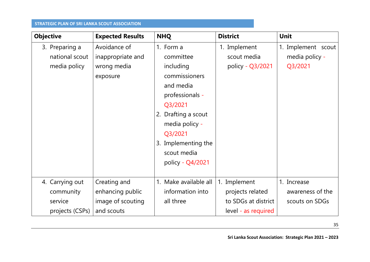| <b>Objective</b> | <b>Expected Results</b> | <b>NHQ</b>            | <b>District</b>     | <b>Unit</b>        |
|------------------|-------------------------|-----------------------|---------------------|--------------------|
| 3. Preparing a   | Avoidance of            | 1. Form a             | 1. Implement        | 1. Implement scout |
| national scout   | inappropriate and       | committee             | scout media         | media policy -     |
| media policy     | wrong media             | including             | policy - Q3/2021    | Q3/2021            |
|                  | exposure                | commissioners         |                     |                    |
|                  |                         | and media             |                     |                    |
|                  |                         | professionals -       |                     |                    |
|                  |                         | Q3/2021               |                     |                    |
|                  |                         | 2. Drafting a scout   |                     |                    |
|                  |                         | media policy -        |                     |                    |
|                  |                         | Q3/2021               |                     |                    |
|                  |                         | 3. Implementing the   |                     |                    |
|                  |                         | scout media           |                     |                    |
|                  |                         | policy - Q4/2021      |                     |                    |
|                  |                         |                       |                     |                    |
| 4. Carrying out  | Creating and            | 1. Make available all | 1. Implement        | 1. Increase        |
| community        | enhancing public        | information into      | projects related    | awareness of the   |
| service          | image of scouting       | all three             | to SDGs at district | scouts on SDGs     |
| projects (CSPs)  | and scouts              |                       | level - as required |                    |

35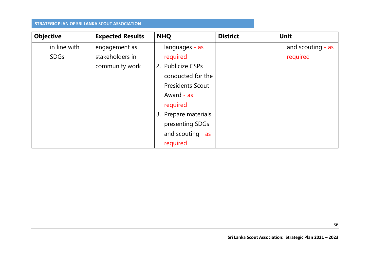| <b>Objective</b> | <b>Expected Results</b> | <b>NHQ</b>              | <b>District</b> | <b>Unit</b>       |
|------------------|-------------------------|-------------------------|-----------------|-------------------|
| in line with     | engagement as           | languages - as          |                 | and scouting - as |
| <b>SDGs</b>      | stakeholders in         | required                |                 | required          |
|                  | community work          | 2. Publicize CSPs       |                 |                   |
|                  |                         | conducted for the       |                 |                   |
|                  |                         | <b>Presidents Scout</b> |                 |                   |
|                  |                         | Award - as              |                 |                   |
|                  |                         | required                |                 |                   |
|                  |                         | 3. Prepare materials    |                 |                   |
|                  |                         | presenting SDGs         |                 |                   |
|                  |                         | and scouting - as       |                 |                   |
|                  |                         | required                |                 |                   |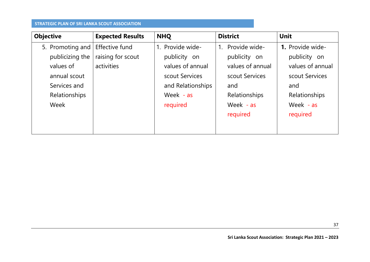| <b>Objective</b> | <b>Expected Results</b> | <b>NHQ</b>        | <b>District</b>  | <b>Unit</b>             |
|------------------|-------------------------|-------------------|------------------|-------------------------|
| 5. Promoting and | Effective fund          | 1. Provide wide-  | Provide wide-    | <b>1.</b> Provide wide- |
| publicizing the  | raising for scout       | publicity on      | publicity on     | publicity on            |
| values of        | activities              | values of annual  | values of annual | values of annual        |
| annual scout     |                         | scout Services    | scout Services   | scout Services          |
| Services and     |                         | and Relationships | and              | and                     |
| Relationships    |                         | Week - as         | Relationships    | Relationships           |
| Week             |                         | required          | Week - $as$      | Week $-$ as             |
|                  |                         |                   | required         | required                |
|                  |                         |                   |                  |                         |
|                  |                         |                   |                  |                         |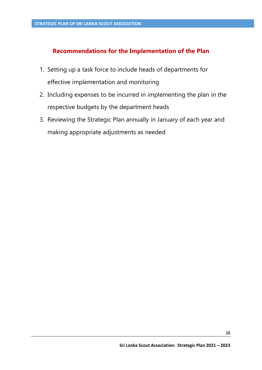## **Recommendations for the Implementation of the Plan**

- 1. Setting up a task force to include heads of departments for effective implementation and monitoring
- 2. Including expenses to be incurred in implementing the plan in the respective budgets by the department heads
- 3. Reviewing the Strategic Plan annually in January of each year and making appropriate adjustments as needed